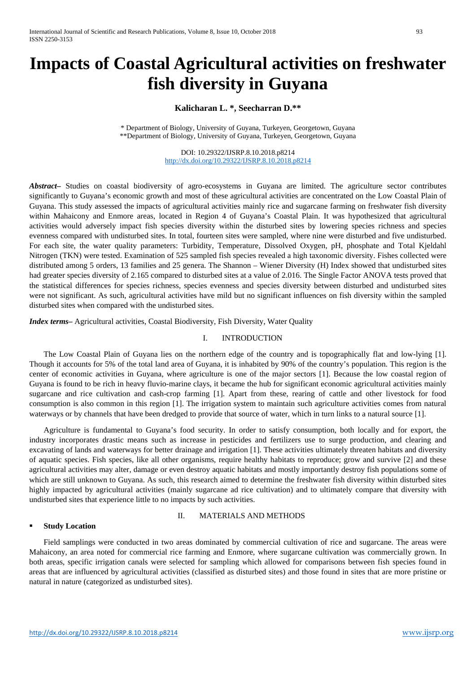# **Impacts of Coastal Agricultural activities on freshwater fish diversity in Guyana**

# **Kalicharan L. \*, Seecharran D.\*\***

\* Department of Biology, University of Guyana, Turkeyen, Georgetown, Guyana \*\*Department of Biology, University of Guyana, Turkeyen, Georgetown, Guyana

> DOI: 10.29322/IJSRP.8.10.2018.p8214 <http://dx.doi.org/10.29322/IJSRP.8.10.2018.p8214>

*Abstract–* Studies on coastal biodiversity of agro-ecosystems in Guyana are limited. The agriculture sector contributes significantly to Guyana's economic growth and most of these agricultural activities are concentrated on the Low Coastal Plain of Guyana. This study assessed the impacts of agricultural activities mainly rice and sugarcane farming on freshwater fish diversity within Mahaicony and Enmore areas, located in Region 4 of Guyana's Coastal Plain. It was hypothesized that agricultural activities would adversely impact fish species diversity within the disturbed sites by lowering species richness and species evenness compared with undisturbed sites. In total, fourteen sites were sampled, where nine were disturbed and five undisturbed. For each site, the water quality parameters: Turbidity, Temperature, Dissolved Oxygen, pH, phosphate and Total Kjeldahl Nitrogen (TKN) were tested. Examination of 525 sampled fish species revealed a high taxonomic diversity. Fishes collected were distributed among 5 orders, 13 families and 25 genera. The Shannon – Wiener Diversity (H) Index showed that undisturbed sites had greater species diversity of 2.165 compared to disturbed sites at a value of 2.016. The Single Factor ANOVA tests proved that the statistical differences for species richness, species evenness and species diversity between disturbed and undisturbed sites were not significant. As such, agricultural activities have mild but no significant influences on fish diversity within the sampled disturbed sites when compared with the undisturbed sites.

*Index terms–* Agricultural activities, Coastal Biodiversity, Fish Diversity, Water Quality

# I. INTRODUCTION

The Low Coastal Plain of Guyana lies on the northern edge of the country and is topographically flat and low-lying [1]. Though it accounts for 5% of the total land area of Guyana, it is inhabited by 90% of the country's population. This region is the center of economic activities in Guyana, where agriculture is one of the major sectors [1]. Because the low coastal region of Guyana is found to be rich in heavy fluvio-marine clays, it became the hub for significant economic agricultural activities mainly sugarcane and rice cultivation and cash-crop farming [1]. Apart from these, rearing of cattle and other livestock for food consumption is also common in this region [1]. The irrigation system to maintain such agriculture activities comes from natural waterways or by channels that have been dredged to provide that source of water, which in turn links to a natural source [1].

Agriculture is fundamental to Guyana's food security. In order to satisfy consumption, both locally and for export, the industry incorporates drastic means such as increase in pesticides and fertilizers use to surge production, and clearing and excavating of lands and waterways for better drainage and irrigation [1]. These activities ultimately threaten habitats and diversity of aquatic species. Fish species, like all other organisms, require healthy habitats to reproduce; grow and survive [2] and these agricultural activities may alter, damage or even destroy aquatic habitats and mostly importantly destroy fish populations some of which are still unknown to Guyana. As such, this research aimed to determine the freshwater fish diversity within disturbed sites highly impacted by agricultural activities (mainly sugarcane ad rice cultivation) and to ultimately compare that diversity with undisturbed sites that experience little to no impacts by such activities.

# **Study Location**

# II. MATERIALS AND METHODS

Field samplings were conducted in two areas dominated by commercial cultivation of rice and sugarcane. The areas were Mahaicony, an area noted for commercial rice farming and Enmore, where sugarcane cultivation was commercially grown. In both areas, specific irrigation canals were selected for sampling which allowed for comparisons between fish species found in areas that are influenced by agricultural activities (classified as disturbed sites) and those found in sites that are more pristine or natural in nature (categorized as undisturbed sites).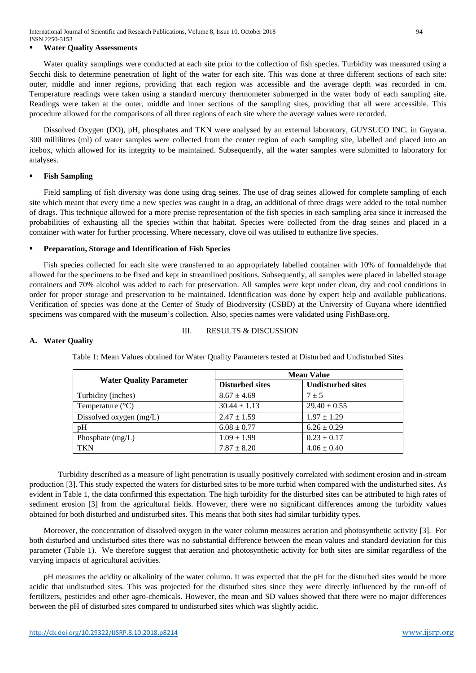#### **Water Quality Assessments**

Water quality samplings were conducted at each site prior to the collection of fish species. Turbidity was measured using a Secchi disk to determine penetration of light of the water for each site. This was done at three different sections of each site: outer, middle and inner regions, providing that each region was accessible and the average depth was recorded in cm. Temperature readings were taken using a standard mercury thermometer submerged in the water body of each sampling site. Readings were taken at the outer, middle and inner sections of the sampling sites, providing that all were accessible. This procedure allowed for the comparisons of all three regions of each site where the average values were recorded.

Dissolved Oxygen (DO), pH, phosphates and TKN were analysed by an external laboratory, GUYSUCO INC. in Guyana. 300 millilitres (ml) of water samples were collected from the center region of each sampling site, labelled and placed into an icebox, which allowed for its integrity to be maintained. Subsequently, all the water samples were submitted to laboratory for analyses.

#### **Fish Sampling**

Field sampling of fish diversity was done using drag seines. The use of drag seines allowed for complete sampling of each site which meant that every time a new species was caught in a drag, an additional of three drags were added to the total number of drags. This technique allowed for a more precise representation of the fish species in each sampling area since it increased the probabilities of exhausting all the species within that habitat. Species were collected from the drag seines and placed in a container with water for further processing. Where necessary, clove oil was utilised to euthanize live species.

#### **Preparation, Storage and Identification of Fish Species**

Fish species collected for each site were transferred to an appropriately labelled container with 10% of formaldehyde that allowed for the specimens to be fixed and kept in streamlined positions. Subsequently, all samples were placed in labelled storage containers and 70% alcohol was added to each for preservation. All samples were kept under clean, dry and cool conditions in order for proper storage and preservation to be maintained. Identification was done by expert help and available publications. Verification of species was done at the Center of Study of Biodiversity (CSBD) at the University of Guyana where identified specimens was compared with the museum's collection. Also, species names were validated using FishBase.org.

# III. RESULTS & DISCUSSION

#### **A. Water Quality**

| <b>Water Quality Parameter</b> | <b>Mean Value</b>      |                          |
|--------------------------------|------------------------|--------------------------|
|                                | <b>Disturbed sites</b> | <b>Undisturbed sites</b> |
| Turbidity (inches)             | $8.67 \pm 4.69$        | $7 + 5$                  |
| Temperature $(^{\circ}C)$      | $30.44 \pm 1.13$       | $29.40 \pm 0.55$         |
| Dissolved oxygen (mg/L)        | $2.47 \pm 1.59$        | $1.97 \pm 1.29$          |
| pH                             | $6.08 \pm 0.77$        | $6.26 \pm 0.29$          |
| Phosphate $(mg/L)$             | $1.09 \pm 1.99$        | $0.23 \pm 0.17$          |
| TKN                            | $7.87 \pm 8.20$        | $4.06 \pm 0.40$          |

Table 1: Mean Values obtained for Water Quality Parameters tested at Disturbed and Undisturbed Sites

Turbidity described as a measure of light penetration is usually positively correlated with sediment erosion and in-stream production [3]. This study expected the waters for disturbed sites to be more turbid when compared with the undisturbed sites. As evident in Table 1, the data confirmed this expectation. The high turbidity for the disturbed sites can be attributed to high rates of sediment erosion [3] from the agricultural fields. However, there were no significant differences among the turbidity values obtained for both disturbed and undisturbed sites. This means that both sites had similar turbidity types.

Moreover, the concentration of dissolved oxygen in the water column measures aeration and photosynthetic activity [3]. For both disturbed and undisturbed sites there was no substantial difference between the mean values and standard deviation for this parameter (Table 1). We therefore suggest that aeration and photosynthetic activity for both sites are similar regardless of the varying impacts of agricultural activities.

pH measures the acidity or alkalinity of the water column. It was expected that the pH for the disturbed sites would be more acidic that undisturbed sites. This was projected for the disturbed sites since they were directly influenced by the run-off of fertilizers, pesticides and other agro-chemicals. However, the mean and SD values showed that there were no major differences between the pH of disturbed sites compared to undisturbed sites which was slightly acidic.